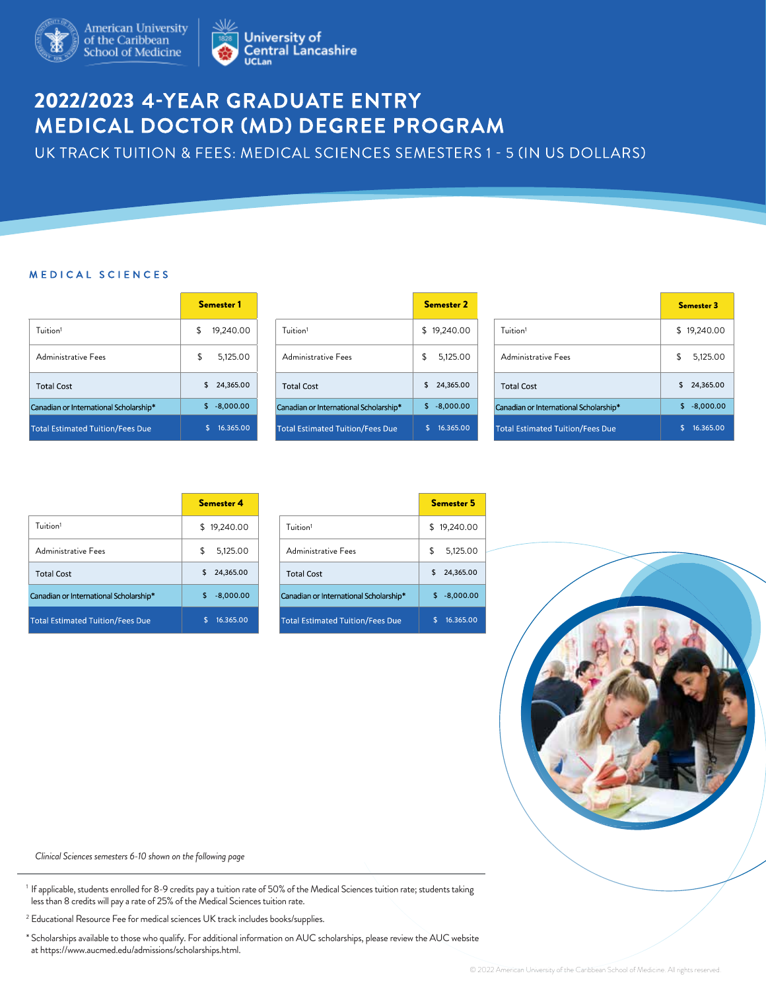

## **2022/2023 4-YEAR GRADUATE ENTRY<br>MEDICAL DOCTOR (MD) DEGREE PROGRAM**

UK TRACK TUITION & FEES: MEDICAL SCIENCES SEMESTERS 1 - 5 (IN US DOLLARS)

## M E D I C A L S C I E N C E S

|                                        | <b>Semester 1</b> |                                         | <b>Semester 2</b> |                              |
|----------------------------------------|-------------------|-----------------------------------------|-------------------|------------------------------|
| Tuition <sup>1</sup>                   | \$<br>19,240.00   | Tuition <sup>1</sup>                    | \$19,240.00       | Tuition <sup>1</sup>         |
| Administrative Fees                    | 5,125.00<br>S     | Administrative Fees                     | 5,125.00<br>\$    | Administrative Fees          |
| <b>Total Cost</b>                      | 24,365.00<br>S.   | <b>Total Cost</b>                       | 24,365.00<br>S.   | <b>Total Cost</b>            |
| Canadian or International Scholarship* | $$ -8,000.00$     | Canadian or International Scholarship*  | $-8,000.00$<br>S. | Canadian or Internation      |
| Total Estimated Tuition/Fees Due       | 16.365.00         | <b>Total Estimated Tuition/Fees Due</b> | 16.365.00<br>\$.  | <b>Total Estimated Tuiti</b> |

|                                         | Semester <sub>2</sub> |
|-----------------------------------------|-----------------------|
| Tuition <sup>1</sup>                    | \$19,240.00           |
| Administrative Fees                     | 5,125.00<br>\$        |
| <b>Total Cost</b>                       | 24,365.00<br>\$       |
| Canadian or International Scholarship*  | $-8,000.00$<br>\$     |
| <b>Total Estimated Tuition/Fees Due</b> | 16.365.00<br>S        |

| Semester 1    |                                         | <b>Semester 2</b>  |                                         | <b>Semester 3</b>  |
|---------------|-----------------------------------------|--------------------|-----------------------------------------|--------------------|
| 19,240.00     | Tuition <sup>1</sup>                    | \$19,240.00        | Tuition <sup>1</sup>                    | \$19,240.00        |
| 5,125.00      | Administrative Fees                     | \$<br>5,125.00     | Administrative Fees                     | 5,125.00<br>\$     |
| \$24,365.00   | <b>Total Cost</b>                       | \$<br>24,365.00    | <b>Total Cost</b>                       | \$<br>24,365.00    |
| $$ -8,000.00$ | Canadian or International Scholarship*  | \$.<br>$-8,000.00$ | Canadian or International Scholarship*  | $-8,000.00$<br>\$. |
| 16.365.00     | <b>Total Estimated Tuition/Fees Due</b> | 16.365.00          | <b>Total Estimated Tuition/Fees Due</b> | 16.365.00          |

|                                         | Semester 4        |                              |
|-----------------------------------------|-------------------|------------------------------|
| Tuition <sup>1</sup>                    | \$19,240.00       | Tuition <sup>1</sup>         |
| Administrative Fees                     | 5,125.00<br>\$    | Administrative Fees          |
| <b>Total Cost</b>                       | 24,365.00<br>\$   | <b>Total Cost</b>            |
| Canadian or International Scholarship*  | \$<br>$-8,000.00$ | Canadian or Internation      |
| <b>Total Estimated Tuition/Fees Due</b> | 16.365.00         | <b>Total Estimated Tuiti</b> |

| Semester 4     |                                         | <b>Semester 5</b> |  |  |  |
|----------------|-----------------------------------------|-------------------|--|--|--|
| \$19,240.00    | Tuition <sup>1</sup>                    | 19,240.00<br>S    |  |  |  |
| \$<br>5,125.00 | Administrative Fees                     | \$<br>5,125.00    |  |  |  |
| 24,365.00      | <b>Total Cost</b>                       | 24,365.00         |  |  |  |
| $-8.000.00$    | Canadian or International Scholarship*  | $-8,000.00$<br>S  |  |  |  |
| 16.365.00      | <b>Total Estimated Tuition/Fees Due</b> | 16.365.00         |  |  |  |



*Clinical Sciences semesters 6-10 shown on the following page*

<sup>1</sup> If applicable, students enrolled for 8-9 credits pay a tuition rate of 50% of the Medical Sciences tuition rate; students taking less than 8 credits will pay a rate of 25% of the Medical Sciences tuition rate.

<sup>2</sup> Educational Resource Fee for medical sciences UK track includes books/supplies.

\* Scholarships available to those who qualify. For additional information on AUC scholarships, please review the AUC website at https://www.aucmed.edu/admissions/scholarships.html.